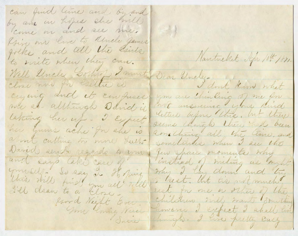can find line and by and by and in hopes she mill come on and see me. Roin our live to Uncle games, folks and tell the sints, Nantucket Apr 10th 1821. to virite when they can. Well Uncle Lortuf I must Dear Unclercuring and it confuses you are thinking of me for not answering your kind me ab although David is letters before this, but there Laking ther up - I Expect seems chingh there had been her guins ache for the is Romaching all the time, and about cutting to more Leeth-Sometimes when I see the David sendo regardo to ym Den Share moments why and says take care of instead of miting as myst your self. So say 2. Hoping why I lay down and this this still finds you all till I hest, lut tis not much I'll claim to a close. rest for one a other of the Children will want Southing land Night Ever. timery I expect I shall line you loving Wreek honghed I have pretty cary Sure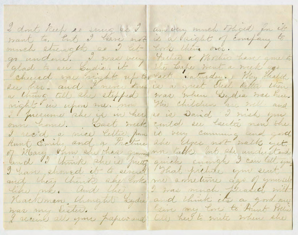I dont keep so snow as I want to, Ent I have not much strength so I let glad to see Lydia. it cheered me right up to. Ree her. and I never knew a thing till the stepped was much Dydia was here. night in upon me, now the children are well and I presume she is in her onni home. Cast week could see lautie now she I rec'd a nice lettre from it very cumuing and good and I think she is futty ginek enough I can lett you and they think also looks me arrivedime ago of yourself like me. And the, I was much pleased with Hackman Chinght Lydia and think its a good one 2 receive all your papers and

am very much Bluged for it Father of the shore have gone to the teaper went a week ago Cast Saturday. May Malth is a great cheal better then so is David I mich you City has to mite when the